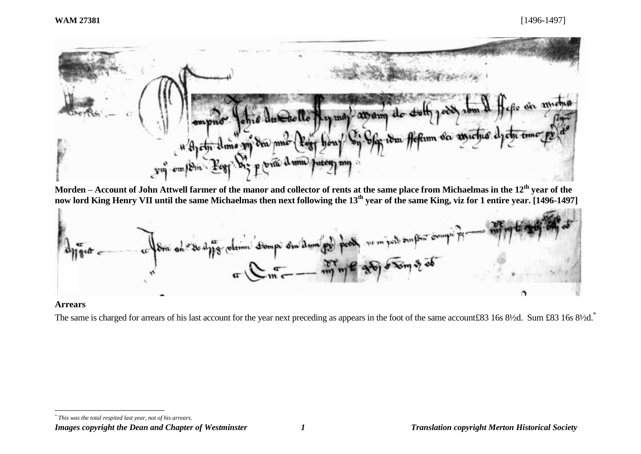

**Morden – Account of John Attwell farmer of the manor and collector of rents at the same place from Michaelmas in the 12th year of the now lord King Henry VII until the same Michaelmas then next following the 13th year of the same King, viz for 1 entire year. [1496-1497]**



#### **Arrears**

l

The same is charged for arrears of his last account for the year next preceding as appears in the foot of the same account£83 16s 8½d. Sum £83 16s 8½d.<sup>\*</sup>

*\* This was the total respited last year, not of his arrears.*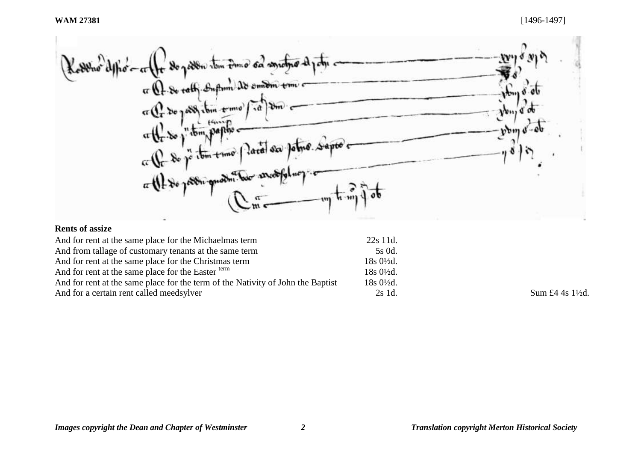poden tom time of contempo Kolling or the sequence is the content of the sequence or Cr De post ibin trime  $v_{\rm{b}}$ Um ₫  $\frac{d}{dx} \int_{0}^{x} \frac{1}{2} \, dx \int_{0}^{x} \frac{1}{2} \, dx \int_{0}^{x} \frac{1}{2} \, dx$  $\bm{b}_{\bm{\mu}}$ a the do p temporare para sa potro sapos e  $\mu \cdot m$ 

# **Rents of assize**

| And for rent at the same place for the Michaelmas term                                                                                | 22s 11d.                                                                        |                  |
|---------------------------------------------------------------------------------------------------------------------------------------|---------------------------------------------------------------------------------|------------------|
| And from tallage of customary tenants at the same term                                                                                | 5s 0d.<br>$18s \frac{0!}{2d}$ .<br>$18s0\frac{1}{2}d$ .<br>$18s0\frac{1}{2}d$ . |                  |
| And for rent at the same place for the Christmas term                                                                                 |                                                                                 |                  |
| And for rent at the same place for the Easter term<br>And for rent at the same place for the term of the Nativity of John the Baptist |                                                                                 |                  |
|                                                                                                                                       |                                                                                 |                  |
| And for a certain rent called meeds ylver                                                                                             | 2s 1d.                                                                          | Sum £4 4s 1\{2d. |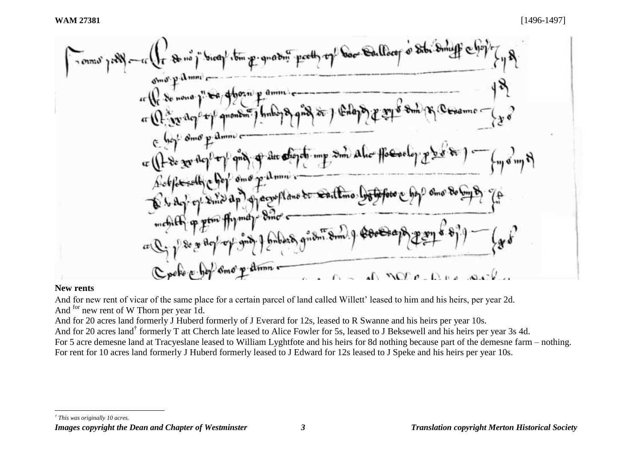

#### **New rents**

And for new rent of vicar of the same place for a certain parcel of land called Willett' leased to him and his heirs, per year 2d. And <sup>for</sup> new rent of W Thorn per year 1d.

And for 20 acres land formerly J Huberd formerly of J Everard for 12s, leased to R Swanne and his heirs per year 10s. And for 20 acres land<sup>†</sup> formerly T att Cherch late leased to Alice Fowler for 5s, leased to J Beksewell and his heirs per year 3s 4d. For 5 acre demesne land at Tracyeslane leased to William Lyghtfote and his heirs for 8d nothing because part of the demesne farm – nothing. For rent for 10 acres land formerly J Huberd formerly leased to J Edward for 12s leased to J Speke and his heirs per year 10s.

l *† This was originally 10 acres.*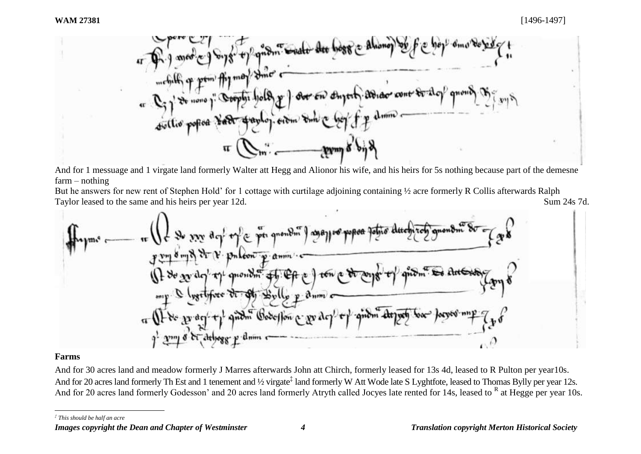

And for 1 messuage and 1 virgate land formerly Walter att Hegg and Alionor his wife, and his heirs for 5s nothing because part of the demesne farm – nothing

But he answers for new rent of Stephen Hold' for 1 cottage with curtilage adjoining containing ½ acre formerly R Collis afterwards Ralph Taylor leased to the same and his heirs per year 12d. Sum 24s 7d.



# **Farms**

And for 30 acres land and meadow formerly J Marres afterwards John att Chirch, formerly leased for 13s 4d, leased to R Pulton per year10s. And for 20 acres land formerly Th Est and 1 tenement and ½ virgate<sup>‡</sup> land formerly W Att Wode late S Lyghtfote, leased to Thomas Bylly per year 12s. And for 20 acres land formerly Godesson' and 20 acres land formerly Atryth called Jocyes late rented for 14s, leased to R at Hegge per year 10s.

l *‡ This should be half an acre*

*Images copyright the Dean and Chapter of Westminster 4 Translation copyright Merton Historical Society*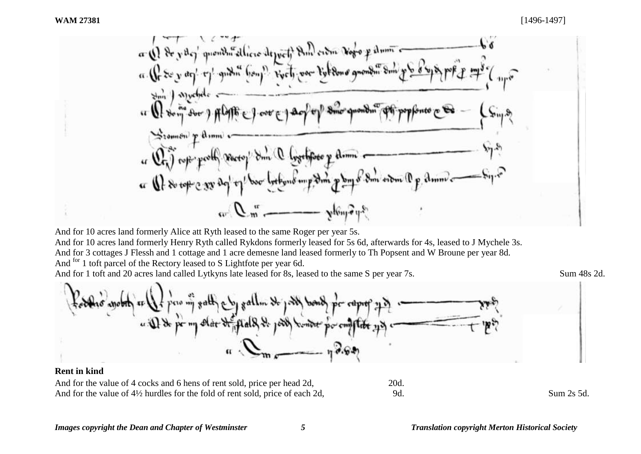

And for 10 acres land formerly Alice att Ryth leased to the same Roger per year 5s. And for 10 acres land formerly Henry Ryth called Rykdons formerly leased for 5s 6d, afterwards for 4s, leased to J Mychele 3s. And for 3 cottages J Flessh and 1 cottage and 1 acre demesne land leased formerly to Th Popsent and W Broune per year 8d. And <sup>for</sup> 1 toft parcel of the Rectory leased to S Lightfote per year 6d.

And for 1 toft and 20 acres land called Lytkyns late leased for 8s, leased to the same S per year 7s. Sum 48s 2d.



And for the value of 4 cocks and 6 hens of rent sold, price per head 2d, 20d. And for the value of  $4\frac{1}{2}$  hurdles for the fold of rent sold, price of each 2d, 9d. Sum 2s 5d.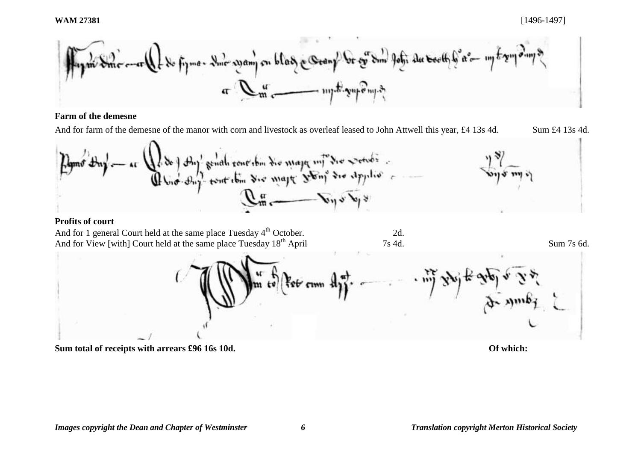

## **Farm of the demesne**

And for farm of the demesne of the manor with corn and livestock as overleaf leased to John Attwell this year, £4 13s 4d. Sum £4 13s 4d.



## **Profits of court**

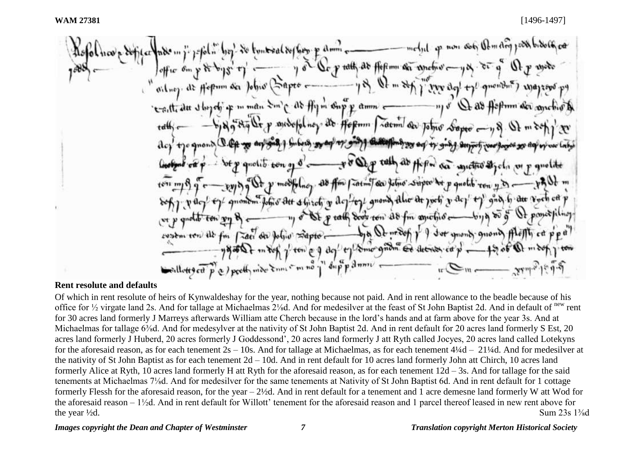#### **Rent resolute and defaults**

Of which in rent resolute of heirs of Kynwaldeshay for the year, nothing because not paid. And in rent allowance to the beadle because of his office for <sup>1</sup>/<sub>2</sub> virgate land 2s. And for tallage at Michaelmas 2<sup>1</sup>/<sub>8</sub>d. And for medesilver at the feast of St John Baptist 2d. And in default of <sup>new</sup> rent for 30 acres land formerly J Marreys afterwards William atte Cherch because in the lord's hands and at farm above for the year 3s. And at Michaelmas for tallage 6<sup>3</sup>/<sub>8</sub>d. And for medesylver at the nativity of St John Baptist 2d. And in rent default for 20 acres land formerly S Est, 20 acres land formerly J Huberd, 20 acres formerly J Goddessond', 20 acres land formerly J att Ryth called Jocyes, 20 acres land called Lotekyns for the aforesaid reason, as for each tenement 2s – 10s. And for tallage at Michaelmas, as for each tenement 4¼d – 21¼d. And for medesilver at the nativity of St John Baptist as for each tenement 2d – 10d. And in rent default for 10 acres land formerly John att Chirch, 10 acres land formerly Alice at Ryth, 10 acres land formerly H att Ryth for the aforesaid reason, as for each tenement 12d – 3s. And for tallage for the said tenements at Michaelmas 7⅛d. And for medesilver for the same tenements at Nativity of St John Baptist 6d. And in rent default for 1 cottage formerly Flessh for the aforesaid reason, for the year – 2½d. And in rent default for a tenement and 1 acre demesne land formerly W att Wod for the aforesaid reason – 1½d. And in rent default for Willott' tenement for the aforesaid reason and 1 parcel thereof leased in new rent above for the year  $\frac{1}{2}d$ . Sum  $23s$   $1\frac{3}{8}d$ 

*Images copyright the Dean and Chapter of Westminster 7 Translation copyright Merton Historical Society*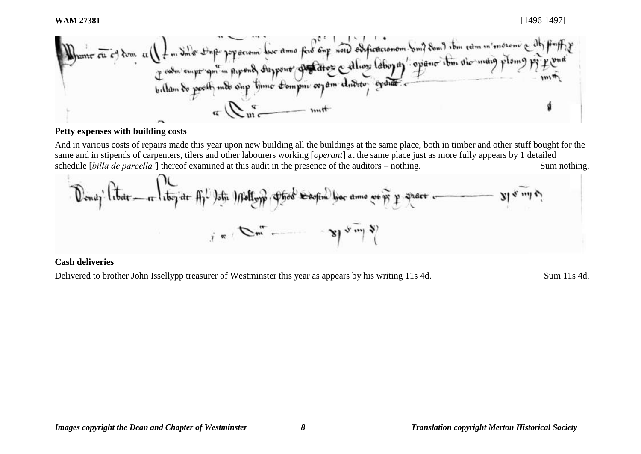

## **Petty expenses with building costs**

And in various costs of repairs made this year upon new building all the buildings at the same place, both in timber and other stuff bought for the same and in stipends of carpenters, tilers and other labourers working [*operant*] at the same place just as more fully appears by 1 detailed schedule [*billa de parcella'*] thereof examined at this audit in the presence of the auditors – nothing. Sum nothing.



#### **Cash deliveries**

Delivered to brother John Issellypp treasurer of Westminster this year as appears by his writing 11s 4d. Sum 11s 4d.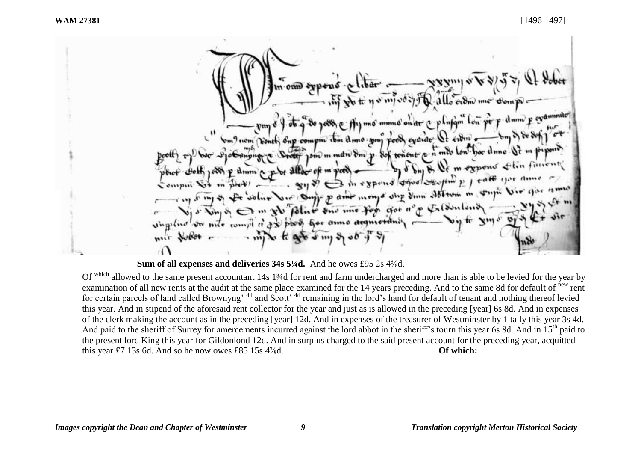allo order me me mmno on the a plusque low perp dum p evening m) nom vont one compre ibn dime you poor evende 1000 m man 8m p. Sof tenont p. n mes low m expens thin funent dmm expens of says to p / rate you mongo dup Sum Abrown m stupe Vir iv p dine Blue one me for got n'y Informer her anno drameta Un mile compt

**Sum of all expenses and deliveries 34s 5¼d.** And he owes £95 2s 4<sup>5</sup>/<sub>8</sub>d.

Of which allowed to the same present accountant 14s 1<sup>3</sup>/<sub>4</sub>d for rent and farm undercharged and more than is able to be levied for the year by examination of all new rents at the audit at the same place examined for the 14 years preceding. And to the same 8d for default of <sup>new</sup> rent for certain parcels of land called Brownyng<sup>, 4d</sup> and Scott<sup>, 4d</sup> remaining in the lord's hand for default of tenant and nothing thereof levied this year. And in stipend of the aforesaid rent collector for the year and just as is allowed in the preceding [year] 6s 8d. And in expenses of the clerk making the account as in the preceding [year] 12d. And in expenses of the treasurer of Westminster by 1 tally this year 3s 4d. And paid to the sheriff of Surrey for amercements incurred against the lord abbot in the sheriff's tourn this year 6s 8d. And in 15<sup>th</sup> paid to the present lord King this year for Gildonlond 12d. And in surplus charged to the said present account for the preceding year, acquitted this year £7 13s 6d. And so he now owes £85 15s 4<sup>%</sup>d. **Of which: Of which:**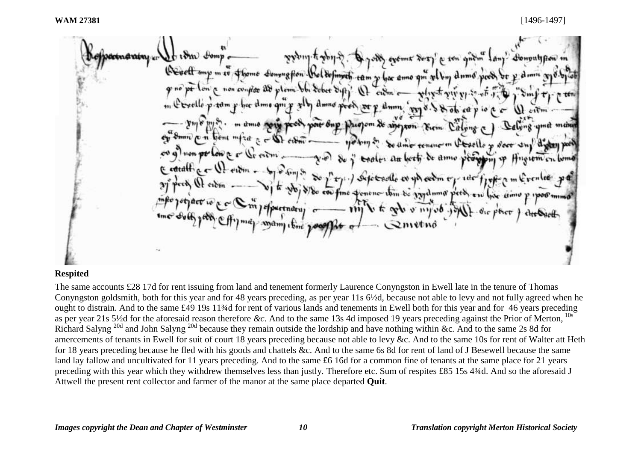odobné rabni za  $\Lambda$ t ( $\delta$ m) Fom Donontifion " a ten gatin We sett my m to othome congression that define to tam y you ame and within drine pood or y pt low a non conflat are  $\epsilon$ w $m$  $\epsilon$ why to you we had a hoc time am dum, prior & ob at p om de ayopon Kum Calvag  $5 - 50$  city be timer tenancion Chaelle y door and didan post  $\mathbb{Q}_r$  only  $\longrightarrow$   $\mathbb{Z}$  of  $\mathbb{Z}$ teater an been de anno very ( cottall a c So propert Sepertrootle en you endow my and finding m do con fine poneno itin do vigalumo perdi e su live cimo P 1300 mmo 1efpertuary o  $-$  might to get a mysel go mam time 20

## **Respited**

The same accounts £28 17d for rent issuing from land and tenement formerly Laurence Conyngston in Ewell late in the tenure of Thomas Conyngston goldsmith, both for this year and for 48 years preceding, as per year 11s 6½d, because not able to levy and not fully agreed when he ought to distrain. And to the same £49 19s 11¾d for rent of various lands and tenements in Ewell both for this year and for 46 years preceding as per year 21s 5½d for the aforesaid reason therefore &c. And to the same 13s 4d imposed 19 years preceding against the Prior of Merton, Richard Salyng 20d and John Salyng 20d because they remain outside the lordship and have nothing within &c*.* And to the same 2s 8d for amercements of tenants in Ewell for suit of court 18 years preceding because not able to levy &c. And to the same 10s for rent of Walter att Heth for 18 years preceding because he fled with his goods and chattels &c. And to the same 6s 8d for rent of land of J Besewell because the same land lay fallow and uncultivated for 11 years preceding. And to the same £6 16d for a common fine of tenants at the same place for 21 years preceding with this year which they withdrew themselves less than justly*.* Therefore etc. Sum of respites £85 15s 4¾d. And so the aforesaid J Attwell the present rent collector and farmer of the manor at the same place departed **Quit**.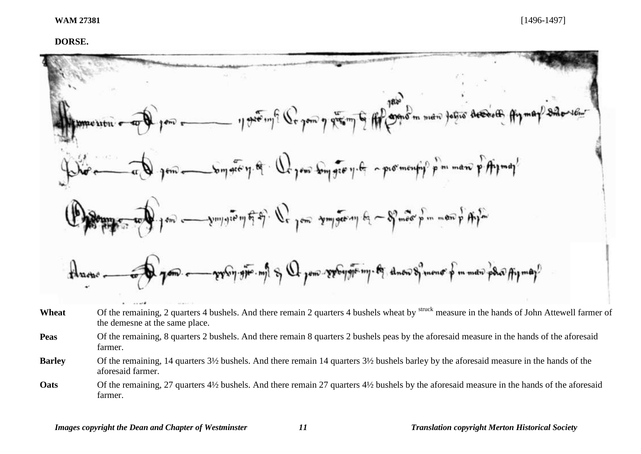#### **DORSE.**



- Wheat Of the remaining, 2 quarters 4 bushels. And there remain 2 quarters 4 bushels wheat by <sup>struck</sup> measure in the hands of John Attewell farmer of the demesne at the same place.
- **Peas** Of the remaining, 8 quarters 2 bushels. And there remain 8 quarters 2 bushels peas by the aforesaid measure in the hands of the aforesaid farmer.
- **Barley** Of the remaining, 14 quarters 3½ bushels. And there remain 14 quarters 3½ bushels barley by the aforesaid measure in the hands of the aforesaid farmer.
- **Oats** Of the remaining, 27 quarters 4<sup>1/2</sup> bushels. And there remain 27 quarters 4<sup>1</sup>/2 bushels by the aforesaid measure in the hands of the aforesaid farmer.